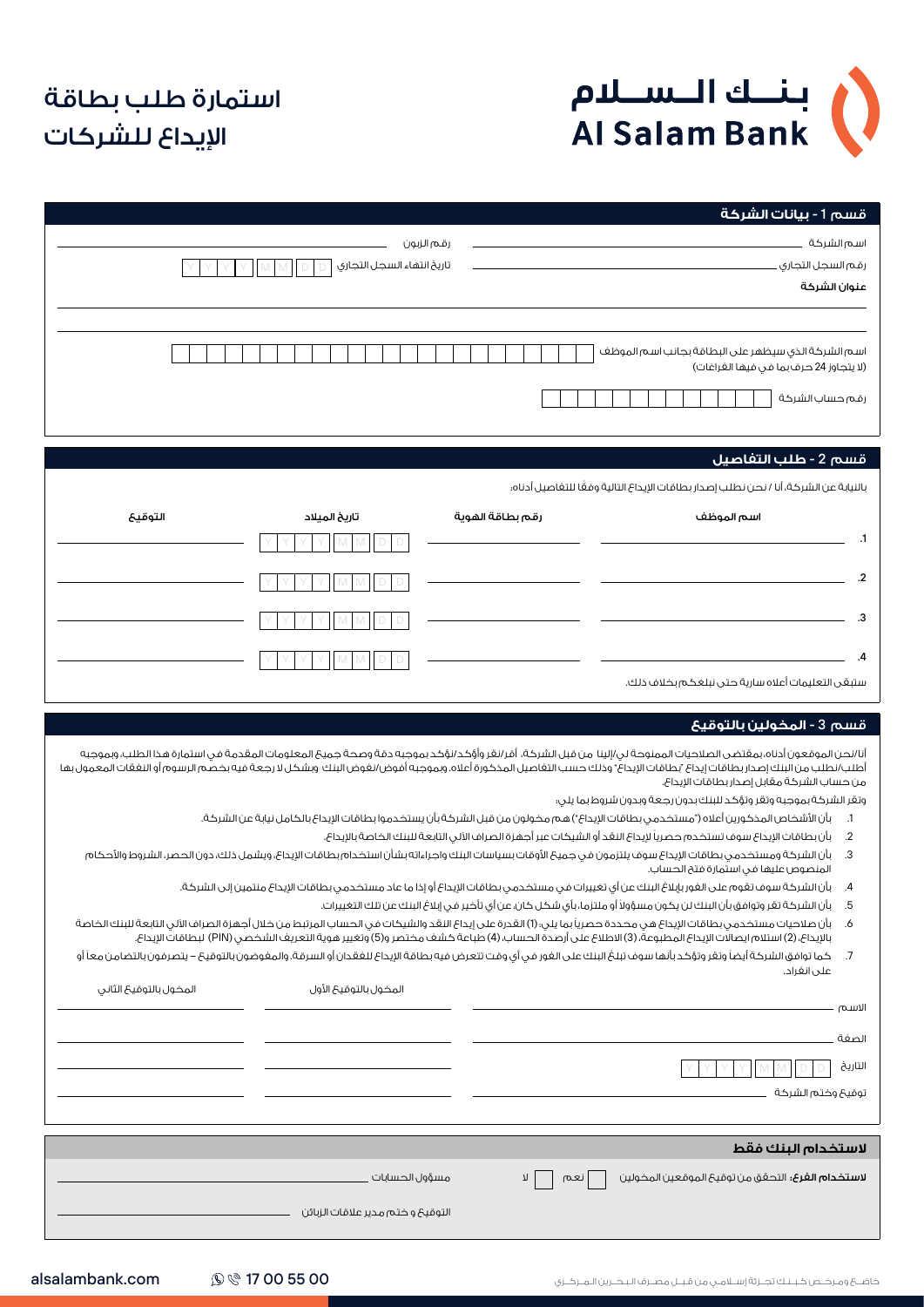

## استمارة طلب بطاقة اإليداع للشركات

| قسم 1 - بيانات الشركة                                                                                                                                                                                                                                                                                                                                                                                                                                                                                                                                                                                                                                                                                                                                                                                                                                                                                                                                                                                                                                                                                                                                                                                                                                                                                                                                                                                                                                                                                                                                                                                                                                        |                  |                                    |                        |
|--------------------------------------------------------------------------------------------------------------------------------------------------------------------------------------------------------------------------------------------------------------------------------------------------------------------------------------------------------------------------------------------------------------------------------------------------------------------------------------------------------------------------------------------------------------------------------------------------------------------------------------------------------------------------------------------------------------------------------------------------------------------------------------------------------------------------------------------------------------------------------------------------------------------------------------------------------------------------------------------------------------------------------------------------------------------------------------------------------------------------------------------------------------------------------------------------------------------------------------------------------------------------------------------------------------------------------------------------------------------------------------------------------------------------------------------------------------------------------------------------------------------------------------------------------------------------------------------------------------------------------------------------------------|------------------|------------------------------------|------------------------|
| اسم الشركة                                                                                                                                                                                                                                                                                                                                                                                                                                                                                                                                                                                                                                                                                                                                                                                                                                                                                                                                                                                                                                                                                                                                                                                                                                                                                                                                                                                                                                                                                                                                                                                                                                                   |                  | رقم الزبون                         |                        |
| رقم السجل التجارى .                                                                                                                                                                                                                                                                                                                                                                                                                                                                                                                                                                                                                                                                                                                                                                                                                                                                                                                                                                                                                                                                                                                                                                                                                                                                                                                                                                                                                                                                                                                                                                                                                                          |                  | تاريخ انتهاء السجل التجارى         |                        |
| عنوان الشركة                                                                                                                                                                                                                                                                                                                                                                                                                                                                                                                                                                                                                                                                                                                                                                                                                                                                                                                                                                                                                                                                                                                                                                                                                                                                                                                                                                                                                                                                                                                                                                                                                                                 |                  |                                    |                        |
|                                                                                                                                                                                                                                                                                                                                                                                                                                                                                                                                                                                                                                                                                                                                                                                                                                                                                                                                                                                                                                                                                                                                                                                                                                                                                                                                                                                                                                                                                                                                                                                                                                                              |                  |                                    |                        |
| اسم الشركة الذى سيظهر على البطاقة بجانب اسم الموظف<br>(لا يتجاوز 24 حرف بما فى فيها الغراغات)                                                                                                                                                                                                                                                                                                                                                                                                                                                                                                                                                                                                                                                                                                                                                                                                                                                                                                                                                                                                                                                                                                                                                                                                                                                                                                                                                                                                                                                                                                                                                                |                  |                                    |                        |
| رقم حساب الشركة                                                                                                                                                                                                                                                                                                                                                                                                                                                                                                                                                                                                                                                                                                                                                                                                                                                                                                                                                                                                                                                                                                                                                                                                                                                                                                                                                                                                                                                                                                                                                                                                                                              |                  |                                    |                        |
|                                                                                                                                                                                                                                                                                                                                                                                                                                                                                                                                                                                                                                                                                                                                                                                                                                                                                                                                                                                                                                                                                                                                                                                                                                                                                                                                                                                                                                                                                                                                                                                                                                                              |                  |                                    |                        |
| قسم 2 - طلب التفاصيل                                                                                                                                                                                                                                                                                                                                                                                                                                                                                                                                                                                                                                                                                                                                                                                                                                                                                                                                                                                                                                                                                                                                                                                                                                                                                                                                                                                                                                                                                                                                                                                                                                         |                  |                                    |                        |
| بالنيابة عن الشركة، أنا / نحن نطلب إصدار بطاقات الإيداع التالية وفعًا للتغاصيل أدناه؛                                                                                                                                                                                                                                                                                                                                                                                                                                                                                                                                                                                                                                                                                                                                                                                                                                                                                                                                                                                                                                                                                                                                                                                                                                                                                                                                                                                                                                                                                                                                                                        |                  |                                    |                        |
| اسم الموظف                                                                                                                                                                                                                                                                                                                                                                                                                                                                                                                                                                                                                                                                                                                                                                                                                                                                                                                                                                                                                                                                                                                                                                                                                                                                                                                                                                                                                                                                                                                                                                                                                                                   | رقم بطاقة الفوية | تاريخ الميلاد                      | التوقيح                |
| $\cdot$ 1                                                                                                                                                                                                                                                                                                                                                                                                                                                                                                                                                                                                                                                                                                                                                                                                                                                                                                                                                                                                                                                                                                                                                                                                                                                                                                                                                                                                                                                                                                                                                                                                                                                    |                  |                                    |                        |
| $\cdot$                                                                                                                                                                                                                                                                                                                                                                                                                                                                                                                                                                                                                                                                                                                                                                                                                                                                                                                                                                                                                                                                                                                                                                                                                                                                                                                                                                                                                                                                                                                                                                                                                                                      |                  |                                    |                        |
|                                                                                                                                                                                                                                                                                                                                                                                                                                                                                                                                                                                                                                                                                                                                                                                                                                                                                                                                                                                                                                                                                                                                                                                                                                                                                                                                                                                                                                                                                                                                                                                                                                                              |                  |                                    |                        |
| .3                                                                                                                                                                                                                                                                                                                                                                                                                                                                                                                                                                                                                                                                                                                                                                                                                                                                                                                                                                                                                                                                                                                                                                                                                                                                                                                                                                                                                                                                                                                                                                                                                                                           |                  |                                    |                        |
| $\cdot$                                                                                                                                                                                                                                                                                                                                                                                                                                                                                                                                                                                                                                                                                                                                                                                                                                                                                                                                                                                                                                                                                                                                                                                                                                                                                                                                                                                                                                                                                                                                                                                                                                                      |                  |                                    |                        |
|                                                                                                                                                                                                                                                                                                                                                                                                                                                                                                                                                                                                                                                                                                                                                                                                                                                                                                                                                                                                                                                                                                                                                                                                                                                                                                                                                                                                                                                                                                                                                                                                                                                              |                  |                                    |                        |
|                                                                                                                                                                                                                                                                                                                                                                                                                                                                                                                                                                                                                                                                                                                                                                                                                                                                                                                                                                                                                                                                                                                                                                                                                                                                                                                                                                                                                                                                                                                                                                                                                                                              |                  |                                    |                        |
| ستبقى التعليمات أعلاه سارية حتى نبلغكم بخلاف ذلك.<br>قسم 3 - المخولين بالتوقيع<br>أنا/نحن الموقعون أدناه،بمقتضى الصلاحيات الممنوحة لى/إلينا من قبل الشركة، أقر/نقر وأؤكد/نؤكد بموجبه دقة وصحة جميع المعلومات المقدمة فى استمارة هذا الطلب، وبموجبه                                                                                                                                                                                                                                                                                                                                                                                                                                                                                                                                                                                                                                                                                                                                                                                                                                                                                                                                                                                                                                                                                                                                                                                                                                                                                                                                                                                                           |                  |                                    |                        |
| أطلب/نطلب من البنك إصدار بطاقات إيداع "بطاقات الإيداع" وذلك حسب التفاصيل المذكورة أعلاه. وبمجبه أفوض/نغوض البنك وبشكل لا رجعة فيه بخصم الرسوم أو النغقات المعمول بها<br>من حساب الشركة مقابل إصدار بطاقات الإيداع.<br>وتقر الشركة بموجبه وتقر وتؤكد للبنك بدون رجعة وبدون شروط بما يلى:<br>بأن الأشخاص المذكورين أعلاه ("مستخدمي بطاقات الإيداع") هم مخولون من قبل الشركة بأن يستخدموا بطاقات الإيداع بالكامل نيابة عن الشركة.<br>$\cdot$ .1<br>بأن بطاقات الإيداع سوف تستخدم حصرياً لإيداع النقد أو الشيكات عبر أجهزة الصراف الآلى التابعة للبنك الخاصة بالإيداع.<br>$.2\phantom{0}$<br>بأن الشركة ومستخدمى بطاقات الإيداع سوف يلتزمون فى جميع الأوقات بسياسات البنك واجراءاته بشأن استخدام بطاقات الإيداع، ويشمل ذلك، دون الحصر، الشروط والأحكام<br>.3<br>المنصوص عليها فى استمارة فتح الحساب.<br>بأن الشركة سوف تقوم على الغور بإبلاغ البنك عن أي تغييرات في مستخدمي بطاقات الإيداع أو إذا ما عاد مستخدمي بطاقات الإيداع منتمين إلى الشركة.<br>$\mathcal{A}$<br>بأن الشركة تقر وتوافق بأن البنك لن يكون مسؤولاً أو ملتزما، بأي شكل كان، عن أي تأخير في إبلاغ البنك عن تلك التغييرات.<br>.5<br>بأن صلاحيات مستخدمى بطاقات الإيداع هى محددة حصرياً بما يلى؛ (1) القدرة على إيداع النقد والشيكات فى الحساب المرتبط من خلال أجهزة الصراف الآلى التابعة للبنك الخاصة<br>.6<br>بالإيداع، (2) استلام ايصالات الإيداع المطبوعة، (3) الاطلاع على أرصدة الحساب، (4) طباعة كشف مختصر و(5) وتغيير هوية التعريف الشخصى (PIN) لبطاقات الإيداع.<br>كما توافق الشركة أيضاً وتقر وتؤكد بأنها سوف تبلغ البنك على الغور في أي وقت تتعرض فيه بطاقة الإيداع للغقدان أو السرقة. والمغوضون بالتوقيح – يتصرفون بالتضامن معاً أو<br>.7<br>على انغراد.<br>الاسم<br>الصغة<br>التاريخ |                  | المخول بالتوقيع الأول              | المخول بالتوقيع الثانى |
| توقيع وختم الشركة                                                                                                                                                                                                                                                                                                                                                                                                                                                                                                                                                                                                                                                                                                                                                                                                                                                                                                                                                                                                                                                                                                                                                                                                                                                                                                                                                                                                                                                                                                                                                                                                                                            |                  |                                    |                        |
|                                                                                                                                                                                                                                                                                                                                                                                                                                                                                                                                                                                                                                                                                                                                                                                                                                                                                                                                                                                                                                                                                                                                                                                                                                                                                                                                                                                                                                                                                                                                                                                                                                                              |                  |                                    |                        |
| لاستخدام البنك فقط<br><b>لاستخدام الغرع:</b> التحقق من توقيحَ الموقعين المخولين                                                                                                                                                                                                                                                                                                                                                                                                                                                                                                                                                                                                                                                                                                                                                                                                                                                                                                                                                                                                                                                                                                                                                                                                                                                                                                                                                                                                                                                                                                                                                                              | η<br>نعم         | مسؤول الحسابات ا                   |                        |
|                                                                                                                                                                                                                                                                                                                                                                                                                                                                                                                                                                                                                                                                                                                                                                                                                                                                                                                                                                                                                                                                                                                                                                                                                                                                                                                                                                                                                                                                                                                                                                                                                                                              |                  | التوقيعَ و ختم مدير علاقات الزبائن |                        |